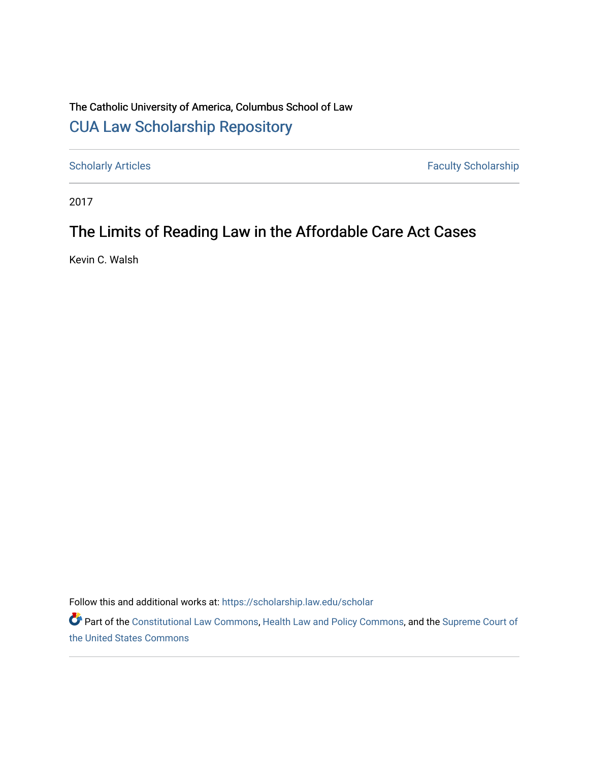# The Catholic University of America, Columbus School of Law [CUA Law Scholarship Repository](https://scholarship.law.edu/)

[Scholarly Articles](https://scholarship.law.edu/scholar) Faculty Scholarship

2017

# The Limits of Reading Law in the Affordable Care Act Cases

Kevin C. Walsh

Follow this and additional works at: [https://scholarship.law.edu/scholar](https://scholarship.law.edu/scholar?utm_source=scholarship.law.edu%2Fscholar%2F1081&utm_medium=PDF&utm_campaign=PDFCoverPages)

Part of the [Constitutional Law Commons,](https://network.bepress.com/hgg/discipline/589?utm_source=scholarship.law.edu%2Fscholar%2F1081&utm_medium=PDF&utm_campaign=PDFCoverPages) [Health Law and Policy Commons](https://network.bepress.com/hgg/discipline/901?utm_source=scholarship.law.edu%2Fscholar%2F1081&utm_medium=PDF&utm_campaign=PDFCoverPages), and the Supreme Court of [the United States Commons](https://network.bepress.com/hgg/discipline/1350?utm_source=scholarship.law.edu%2Fscholar%2F1081&utm_medium=PDF&utm_campaign=PDFCoverPages)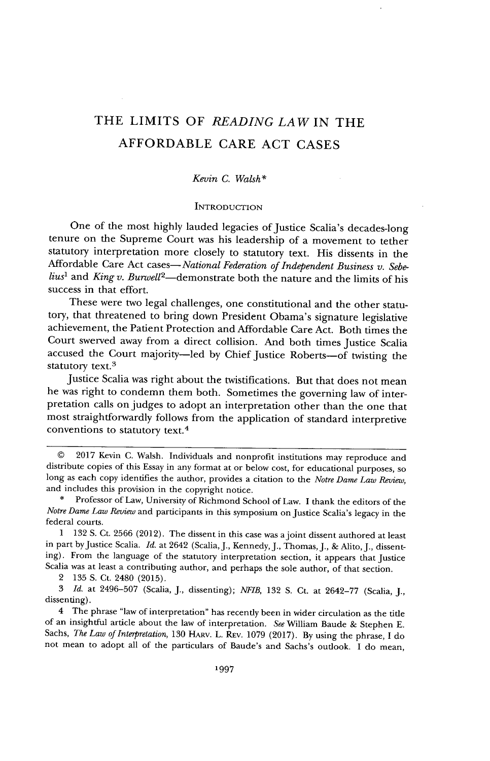# THE LIMITS OF *READING LAW* **IN** THE AFFORDABLE CARE **ACT CASES**

### *Kevin C. Walsh\**

#### **INTRODUCTION**

One of the most highly lauded legacies of Justice Scalia's decades-long tenure on the Supreme Court was his leadership of a movement to tether statutory interpretation more closely to statutory text. His dissents in the Affordable Care Act cases-*National Federation of Independent Business v. Sebelius<sup>1</sup>*and *King v. BurweU<sup>2</sup> -demonstrate* both the nature and the limits of his success in that effort.

These were two legal challenges, one constitutional and the other statutory, that threatened to bring down President Obama's signature legislative achievement, the Patient Protection and Affordable Care Act. Both times the Court swerved away from a direct collision. And both times Justice Scalia accused the Court majority-led by Chief Justice Roberts-of twisting the statutory text.<sup>3</sup>

Justice Scalia was right about the twistifications. But that does not mean he was right to condemn them both. Sometimes the governing law of interpretation calls on judges to adopt an interpretation other than the one that most straightforwardly follows from the application of standard interpretive conventions to statutory text.<sup>4</sup>

*<sup>©</sup>* 2017 Kevin C. Walsh. Individuals and nonprofit institutions may reproduce and distribute copies of this Essay in any format at or below cost, for educational purposes, so long as each copy identifies the author, provides a citation to the *Notre Dame Law Review,* and includes this provision in the copyright notice.

<sup>\*</sup> Professor of Law, University of Richmond School of Law. I thank the editors of the *Notre Dame Law Review* and participants in this symposium on Justice Scalia's legacy in the federal courts.

<sup>1 132</sup> S. Ct. 2566 (2012). The dissent in this case was ajoint dissent authored at least in part by Justice Scalia. *Id.* at 2642 (Scalia, J., Kennedy, J., Thomas, J., & Alito, J., dissenting). From the language of the statutory interpretation section, it appears that Justice Scalia was at least a contributing author, and perhaps the sole author, of that section.

<sup>2 135</sup> **S.** Ct. 2480 (2015).

<sup>3</sup>*Id.* at 2496-507 (Scalia, J., dissenting); *NFIB,* 132 **S.** Ct. at 2642-77 (Scalia, J., dissenting).

<sup>4</sup> The phrase "law of interpretation" has recently been in wider circulation as the title of an insightful article about the law of interpretation. *See* William Baude & Stephen E. Sachs, *The Law of Interpretation,* 130 HARv. L. REv. 1079 (2017). By using the phrase, I do not mean to adopt all of the particulars of Baude's and Sachs's outlook. I do mean,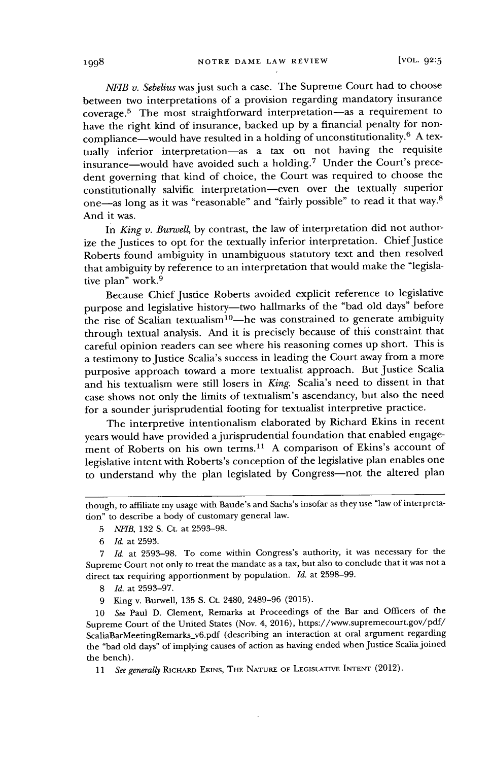*NFIB v. Sebelius* was just such a case. The Supreme Court had to choose between two interpretations of a provision regarding mandatory insurance coverage.<sup>5</sup> The most straightforward interpretation-as a requirement to have the right kind of insurance, backed up by a financial penalty for noncompliance—would have resulted in a holding of unconstitutionality.<sup>6</sup> A textually inferior interpretation-as a tax on not having the requisite insurance—would have avoided such a holding.<sup>7</sup> Under the Court's precedent governing that kind of choice, the Court was required to choose the constitutionally salvific interpretation-even over the textually superior one-as long as it was "reasonable" and "fairly possible" to read it that way. 8 And it was.

In *King v. Burwell,* by contrast, the law of interpretation did not authorize the Justices to opt for the textually inferior interpretation. Chief Justice Roberts found ambiguity in unambiguous statutory text and then resolved that ambiguity by reference to an interpretation that would make the "legislative plan" work.<sup>9</sup>

Because Chief Justice Roberts avoided explicit reference to legislative purpose and legislative history-two hallmarks of the "bad old days" before the rise of Scalian textualism<sup>10</sup>—he was constrained to generate ambiguity through textual analysis. And it is precisely because of this constraint that careful opinion readers can see where his reasoning comes up short. This is a testimony to Justice Scalia's success in leading the Court away from a more purposive approach toward a more textualist approach. But Justice Scalia and his textualism were still losers in *King.* Scalia's need to dissent in that case shows not only the limits of textualism's ascendancy, but also the need for a sounder jurisprudential footing for textualist interpretive practice.

The interpretive intentionalism elaborated by Richard Ekins in recent years would have provided a jurisprudential foundation that enabled engagement of Roberts on his own terms.<sup>11</sup> A comparison of Ekins's account of legislative intent with Roberts's conception of the legislative plan enables one to understand why the plan legislated by Congress-not the altered plan

though, to affiliate my usage with Baude's and Sachs's insofar as they use "law of interpretation" to describe a body of customary general law.

*<sup>5</sup> NFIB,* 132 **S.** Ct. at 2593-98.

*<sup>6</sup> Id.* at 2593.

<sup>7</sup>*Id.* at 2593-98. To come within Congress's authority, it was necessary for the Supreme Court not only to treat the mandate as a tax, but also to conclude that it was not a direct tax requiring apportionment by population. *Id.* at 2598-99.

<sup>8</sup> *Id.* at 2593-97.

<sup>9</sup> King v. Burwell, 135 S. Ct. 2480, 2489-96 (2015).

<sup>10</sup>*See* Paul D. Clement, Remarks at Proceedings of the Bar and Officers of the Supreme Court of the United States (Nov. 4, 2016), https://www.supremecourt.gov/pdf/ ScaliaBarMeetingRemarks **-**v6.pdf (describing an interaction at oral argument regarding the "bad old days" of implying causes of action as having ended when justice Scaliajoined the bench).

<sup>11</sup> *See generally* RicHARD **EKINS, THE** NATURE **OF LEGIsLATIvE INTENT** (2012).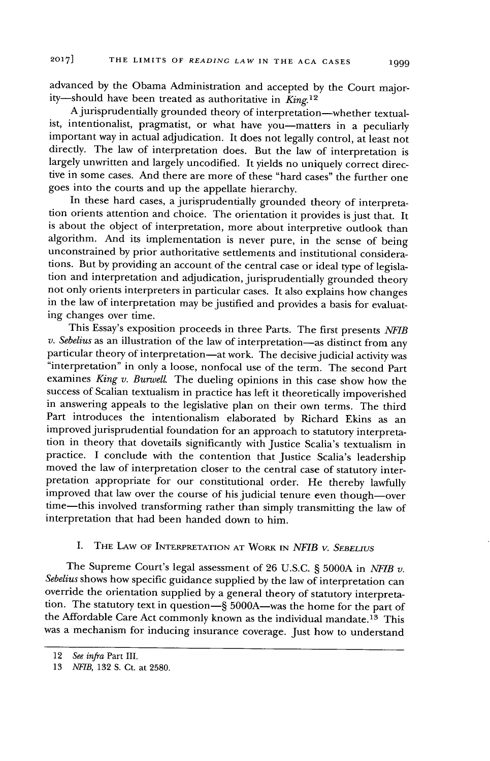advanced by the Obama Administration and accepted by the Court majority-should have been treated as authoritative in *King.<sup>12</sup>*

A jurisprudentially grounded theory of interpretation-whether textualist, intentionalist, pragmatist, or what have you-matters in a peculiarly important way in actual adjudication. It does not legally control, at least not directly. The law of interpretation does. But the law of interpretation is largely unwritten and largely uncodified. It yields no uniquely correct directive in some cases. And there are more of these "hard cases" the further one goes into the courts and up the appellate hierarchy.

In these hard cases, a jurisprudentially grounded theory of interpretation orients attention and choice. The orientation it provides is just that. It is about the object of interpretation, more about interpretive outlook than algorithm. And its implementation is never pure, in the sense of being unconstrained by prior authoritative settlements and institutional considerations. But by providing an account of the central case or ideal type of legislation and interpretation and adjudication, jurisprudentially grounded theory not only orients interpreters in particular cases. It also explains how changes in the law of interpretation may be justified and provides a basis for evaluating changes over time.

This Essay's exposition proceeds in three Parts. The first presents *NFIB v. Sebelius* as an illustration of the law of interpretation-as distinct from any particular theory of interpretation-at work. The decisive judicial activity was "interpretation" in only a loose, nonfocal use of the term. The second Part examines *King v. BurwelL* The dueling opinions in this case show how the success of Scalian textualism in practice has left it theoretically impoverished in answering appeals to the legislative plan on their own terms. The third Part introduces the intentionalism elaborated by Richard Ekins as an improved jurisprudential foundation for an approach to statutory interpretation in theory that dovetails significantly with Justice Scalia's textualism in practice. I conclude with the contention that Justice Scalia's leadership moved the law of interpretation closer to the central case of statutory interpretation appropriate for our constitutional order. He thereby lawfully improved that law over the course of his judicial tenure even though-over time-this involved transforming rather than simply transmitting the law of interpretation that had been handed down to him.

## I. THE LAW OF INTERPRETATION **AT** WORK IN *NFIB v. SEBELIUS*

The Supreme Court's legal assessment of 26 U.S.C. § 5000A in *NFIB v*. *Sebelius* shows how specific guidance supplied by the law of interpretation can override the orientation supplied by a general theory of statutory interpretation. The statutory text in question-§ 5000A-was the home for the part of the Affordable Care Act commonly known as the individual mandate.<sup>13</sup> This was a mechanism for inducing insurance coverage. Just how to understand

<sup>12</sup> *See infra* Part III.

<sup>13</sup> *NFIB,* 132 S. Ct. at 2580.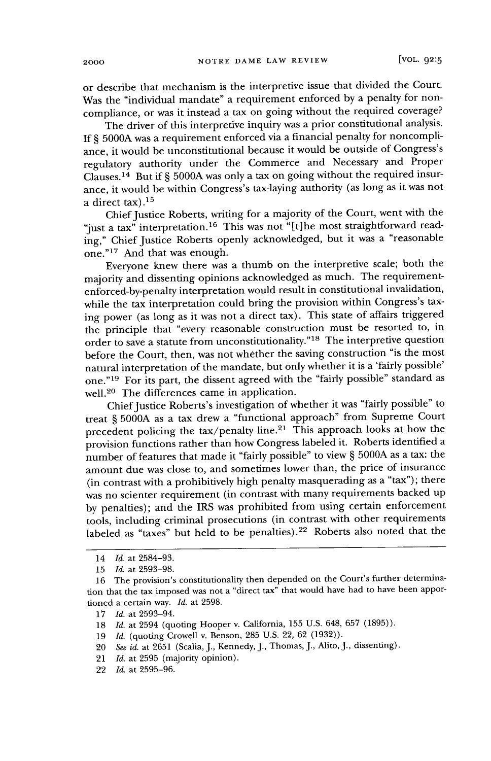or describe that mechanism is the interpretive issue that divided the Court. Was the "individual mandate" a requirement enforced by a penalty for noncompliance, or was it instead a tax on going without the required coverage?

The driver of this interpretive inquiry was a prior constitutional analysis. If § 5000A was a requirement enforced via a financial penalty for noncompliance, it would be unconstitutional because it would be outside of Congress's regulatory authority under the Commerce and Necessary and Proper Clauses.<sup>14</sup> But if § 5000A was only a tax on going without the required insurance, it would be within Congress's tax-laying authority (as long as it was not a direct tax). $15$ 

Chief Justice Roberts, writing for a majority of the Court, went with the "just a tax" interpretation.<sup>16</sup> This was not "[t]he most straightforward reading," Chief Justice Roberts openly acknowledged, but it was a "reasonable one."<sup>17</sup> And that was enough.

Everyone knew there was a thumb on the interpretive scale; both the majority and dissenting opinions acknowledged as much. The requirementenforced-by-penalty interpretation would result in constitutional invalidation, while the tax interpretation could bring the provision within Congress's taxing power (as long as it was not a direct tax). This state of affairs triggered the principle that "every reasonable construction must be resorted to, in order to save a statute from unconstitutionality."<sup>18</sup> The interpretive question before the Court, then, was not whether the saving construction "is the most natural interpretation of the mandate, but only whether it is a 'fairly possible' one."<sup>19</sup> For its part, the dissent agreed with the "fairly possible" standard as well.20 The differences came in application.

Chief Justice Roberts's investigation of whether it was "fairly possible" to treat § **5000A** as a tax drew a "functional approach" from Supreme Court precedent policing the  $\text{tax}/\text{penalty}$  line.<sup>21</sup> This approach looks at how the provision functions rather than how Congress labeled it. Roberts identified a number of features that made it "fairly possible" to view § 5000A as a tax: the amount due was close to, and sometimes lower than, the price of insurance (in contrast with a prohibitively high penalty masquerading as a "tax"); there was no scienter requirement (in contrast with many requirements backed up by penalties); and the IRS was prohibited from using certain enforcement tools, including criminal prosecutions (in contrast with other requirements labeled as "taxes" but held to be penalties).<sup>22</sup> Roberts also noted that the

- 21 *Id.* at 2595 (majority opinion).
- 22 *Id.* at 2595-96.

<sup>14</sup> *Id.* at 2584-93.

<sup>15</sup> *Id.* at 2593-98.

<sup>16</sup> The provision's constitutionality then depended on the Court's further determination that the tax imposed was not a "direct tax" that would have had to have been apportioned a certain way. *Id.* at 2598.

<sup>17</sup> *Id.* at 2593-94.

<sup>18</sup> *Id.* at 2594 (quoting Hooper v. California, 155 U.S. 648, 657 (1895)).

<sup>19</sup> *Id.* (quoting Crowell v. Benson, 285 U.S. 22, 62 (1932)).

<sup>20</sup> *See id.* at 2651 (Scalia, J., Kennedy, J., Thomas, J., Alito, J., dissenting).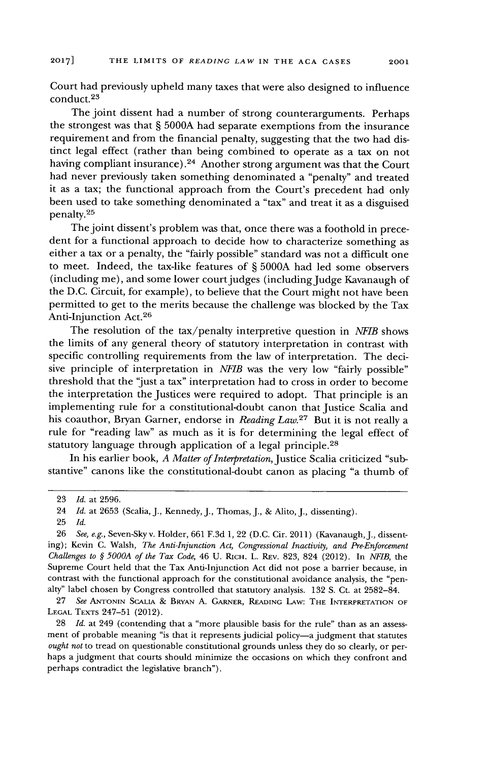Court had previously upheld many taxes that were also designed to influence conduct.<sup>23</sup>

The joint dissent had a number of strong counterarguments. Perhaps the strongest was that § 5000A had separate exemptions from the insurance requirement and from the financial penalty, suggesting that the two had distinct legal effect (rather than being combined to operate as a tax on not having compliant insurance).24 Another strong argument was that the Court had never previously taken something denominated a "penalty" and treated it as a tax; the functional approach from the Court's precedent had only been used to take something denominated a "tax" and treat it as a disguised penalty.<sup>25</sup>

The joint dissent's problem was that, once there was a foothold in precedent for a functional approach to decide how to characterize something as either a tax or a penalty, the "fairly possible" standard was not a difficult one to meet. Indeed, the tax-like features of § 5000A had led some observers (including me), and some lower court judges (including Judge Kavanaugh of the D.C. Circuit, for example), to believe that the Court might not have been permitted to get to the merits because the challenge was blocked by the Tax Anti-Injunction Act.<sup>26</sup>

The resolution of the tax/penalty interpretive question in *AIB* shows the limits of any general theory of statutory interpretation in contrast with specific controlling requirements from the law of interpretation. The decisive principle of interpretation in *NFIB* was the very low "fairly possible" threshold that the "just a tax" interpretation had to cross in order to become the interpretation the Justices were required to adopt. That principle is an implementing rule for a constitutional-doubt canon that Justice Scalia and his coauthor, Bryan Garner, endorse in *Reading Law.*<sup>27</sup> But it is not really a rule for "reading law" as much as it is for determining the legal effect of statutory language through application of a legal principle.<sup>28</sup>

In his earlier book, *A Matter of Interpretation,* Justice Scalia criticized "substantive" canons like the constitutional-doubt canon as placing "a thumb of

27 *See* **ANTONIN ScALIA** *&* BRYAN A. GARNER, READING LAw: THE INTERPRETATION OF **LEGAL** TEXTS 247-51 (2012).

28 *Id.* at 249 (contending that a "more plausible basis for the rule" than as an assessment of probable meaning "is that it represents judicial policy-a judgment that statutes *ought not* to tread on questionable constitutional grounds unless they do so clearly, or perhaps a judgment that courts should minimize the occasions on which they confront and perhaps contradict the legislative branch").

<sup>23</sup> *Id.* at 2596.

<sup>24</sup> *Id.* at 2653 (Scalia, J., Kennedy, J., Thomas, J., & Alito, *J.,* dissenting).

<sup>25</sup> *Id.*

<sup>26</sup> *See, e.g.,* Seven-Sky v. Holder, 661 F.3d 1, 22 (D.C. Cir. 2011) (Kavanaugh, J., dissenting); Kevin C. Walsh, *The Anti-Injunction Act, Congressional Inactivity, and Pre-Enforcement Challenges to § 5000A of the Tax Code,* 46 U. **RICH.** L. REv. 823, 824 (2012). In *NFIB,* the Supreme Court held that the Tax Anti-Injunction Act did not pose a barrier because, in contrast with the functional approach for the constitutional avoidance analysis, the "penalty" label chosen by Congress controlled that statutory analysis. 132 S. Ct. at 2582-84.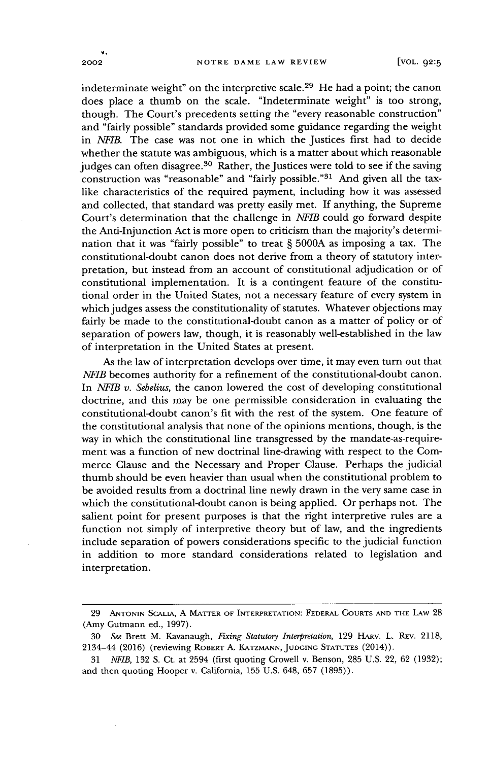indeterminate weight" on the interpretive scale.<sup>29</sup> He had a point; the canon does place a thumb on the scale. "Indeterminate weight" is too strong, though. The Court's precedents setting the "every reasonable construction" and "fairly possible" standards provided some guidance regarding the weight in *ATFIB.* The case was not one in which the Justices first had to decide whether the statute was ambiguous, which is a matter about which reasonable judges can often disagree.<sup>30</sup> Rather, the Justices were told to see if the saving construction was "reasonable" and "fairly possible."<sup>31</sup> And given all the taxlike characteristics of the required payment, including how it was assessed and collected, that standard was pretty easily met. If anything, the Supreme Court's determination that the challenge in *NEIB* could go forward despite the Anti-Injunction Act is more open to criticism than the majority's determination that it was "fairly possible" to treat **§** 5000A as imposing a tax. The constitutional-doubt canon does not derive from a theory of statutory interpretation, but instead from an account of constitutional adjudication or of constitutional implementation. It is a contingent feature of the constitutional order in the United States, not a necessary feature of every system in which judges assess the constitutionality of statutes. Whatever objections may fairly be made to the constitutional-doubt canon as a matter of policy or of separation of powers law, though, it is reasonably well-established in the law of interpretation in the United States at present.

As the law of interpretation develops over time, it may even turn out that *NFIB* becomes authority for a refinement of the constitutional-doubt canon. In *NEIB v. Sebelius,* the canon lowered the cost of developing constitutional doctrine, and this may be one permissible consideration in evaluating the constitutional-doubt canon's fit with the rest of the system. One feature of the constitutional analysis that none of the opinions mentions, though, is the way in which the constitutional line transgressed by the mandate-as-requirement was a function of new doctrinal line-drawing with respect to the Commerce Clause and the Necessary and Proper Clause. Perhaps the judicial thumb should be even heavier than usual when the constitutional problem to be avoided results from a doctrinal line newly drawn in the very same case in which the constitutional-doubt canon is being applied. Or perhaps not. The salient point for present purposes is that the right interpretive rules are a function not simply of interpretive theory but of law, and the ingredients include separation of powers considerations specific to the judicial function in addition to more standard considerations related to legislation and interpretation.

 $\ddot{\mathbf{v}}$ 

<sup>29</sup> ANTONIN ScAiIA, A MATTER OF INTERPRETATION: FEDERAL **COURTS AND** THE LAW 28 (Amy Gutmann ed., 1997).

<sup>30</sup> *See* Brett M. Kavanaugh, *Fixing Statutory Interpretation,* 129 HAv. L. REV. 2118, 2134-44 (2016) (reviewing ROBERT A. KATZMANN, **JUDGING STATUTES** (2014)).

<sup>31</sup> *NFIB,* 132 S. Ct. at 2594 (first quoting Crowell v. Benson, 285 U.S. 22, 62 (1932); and then quoting Hooper v. California, 155 U.S. 648, 657 (1895)).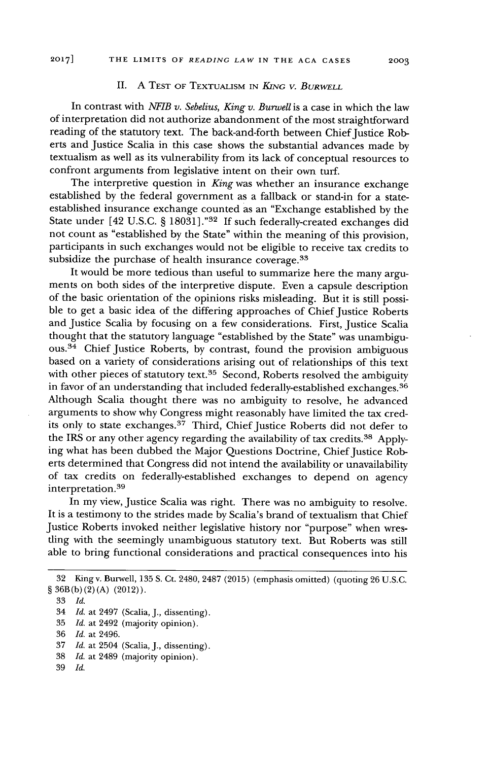#### **II. A TEST** OF TEXTUALISM IN *KING V. BURWELL*

In contrast with *NFIB v. Sebelius, King v. Burwell* is a case in which the law of interpretation did not authorize abandonment of the most straightforward reading of the statutory text. The back-and-forth between Chief Justice Roberts and Justice Scalia in this case shows the substantial advances made by textualism as well as its vulnerability from its lack of conceptual resources to confront arguments from legislative intent on their own turf.

The interpretive question in *King* was whether an insurance exchange established by the federal government as a fallback or stand-in for a stateestablished insurance exchange counted as an "Exchange established by the State under [42 U.S.C. § 18031]."32 If such federally-created exchanges did not count as "established by the State" within the meaning of this provision, participants in such exchanges would not be eligible to receive tax credits to subsidize the purchase of health insurance coverage.<sup>33</sup>

It would be more tedious than useful to summarize here the many arguments on both sides of the interpretive dispute. Even a capsule description of the basic orientation of the opinions risks misleading. But it is still possible to get a basic idea of the differing approaches of Chief Justice Roberts and Justice Scalia by focusing on a few considerations. First, Justice Scalia thought that the statutory language "established by the State" was unambiguous.<sup>34</sup> Chief Justice Roberts, by contrast, found the provision ambiguous based on a variety of considerations arising out of relationships of this text with other pieces of statutory text.<sup>35</sup> Second, Roberts resolved the ambiguity in favor of an understanding that included federally-established exchanges. <sup>36</sup> Although Scalia thought there was no ambiguity to resolve, he advanced arguments to show why Congress might reasonably have limited the tax credits only to state exchanges.<sup>37</sup> Third, Chief Justice Roberts did not defer to the IRS or any other agency regarding the availability of tax credits.<sup>38</sup> Applying what has been dubbed the Major Questions Doctrine, Chief Justice Roberts determined that Congress did not intend the availability or unavailability of tax credits on federally-established exchanges to depend on agency interpretation.<sup>39</sup>

In my view, Justice Scalia was right. There was no ambiguity to resolve. It is a testimony to the strides made by Scalia's brand of textualism that Chief Justice Roberts invoked neither legislative history nor "purpose" when wresding with the seemingly unambiguous statutory text. But Roberts was still able to bring functional considerations and practical consequences into his

- 35 *Id.* at 2492 (majority opinion).
- 36 *Id.* at 2496.
- 37 *Id.* at 2504 (Scalia, J., dissenting).
- 38 *Id.* at 2489 (majority opinion).
- 39 *Id.*

<sup>32</sup> Kingv. Burwell, 135 **S.** Ct. 2480, 2487 (2015) (emphasis omitted) (quoting 26 U.S.C. § 36B(b)(2)(A) (2012)).

<sup>33</sup> *Id.*

<sup>34</sup> *Id.* at 2497 (Scalia, J., dissenting).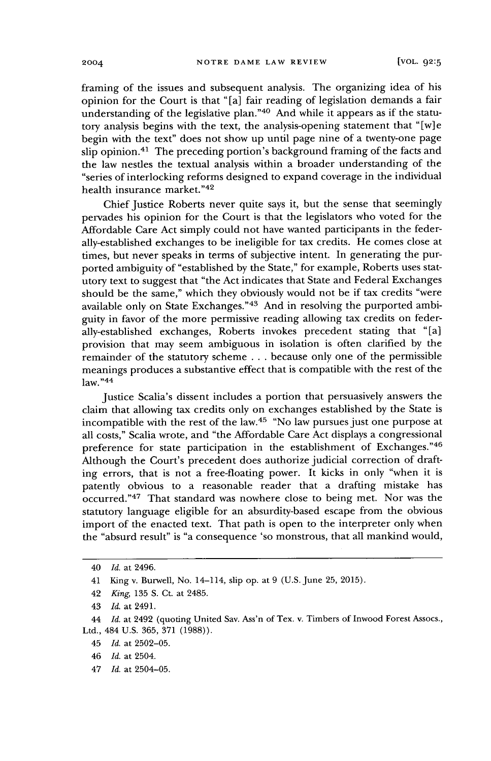framing of the issues and subsequent analysis. The organizing idea of his opinion for the Court is that "[a] fair reading of legislation demands a fair understanding of the legislative plan."<sup>40</sup> And while it appears as if the statutory analysis begins with the text, the analysis-opening statement that "[w] e begin with the text" does not show up until page nine of a twenty-one page slip opinion.<sup>41</sup> The preceding portion's background framing of the facts and the law nestles the textual analysis within a broader understanding of the "series of interlocking reforms designed to expand coverage in the individual health insurance market."<sup>42</sup>

Chief Justice Roberts never quite says it, but the sense that seemingly pervades his opinion for the Court is that the legislators who voted for the Affordable Care Act simply could not have wanted participants in the federally-established exchanges to be ineligible for tax credits. He comes close at times, but never speaks in terms of subjective intent. In generating the purported ambiguity of "established by the State," for example, Roberts uses statutory text to suggest that "the Act indicates that State and Federal Exchanges should be the same," which they obviously would not be if tax credits "were available only on State Exchanges."<sup>43</sup> And in resolving the purported ambiguity in favor of the more permissive reading allowing tax credits on federally-established exchanges, Roberts invokes precedent stating that "[a] provision that may seem ambiguous in isolation is often clarified by the remainder of the statutory scheme . . . because only one of the permissible meanings produces a substantive effect that is compatible with the rest of the  $law.^{"44}$ 

Justice Scalia's dissent includes a portion that persuasively answers the claim that allowing tax credits only on exchanges established by the State is incompatible with the rest of the law.<sup>45</sup> "No law pursues just one purpose at all costs," Scalia wrote, and "the Affordable Care Act displays a congressional preference for state participation in the establishment of Exchanges."46 Although the Court's precedent does authorize judicial correction of drafting errors, that is not a free-floating power. It kicks in only "when it is patently obvious to a reasonable reader that a drafting mistake has occurred."<sup>47</sup> That standard was nowhere close to being met. Nor was the statutory language eligible for an absurdity-based escape from the obvious import of the enacted text. That path is open to the interpreter only when the "absurd result" is "a consequence 'so monstrous, that all mankind would,

<sup>40</sup> *Id.* at 2496.

<sup>41</sup> King v. Burwell, No. 14-114, slip op. at 9 (U.S. June 25, 2015).

<sup>42</sup> *King,* 135 S. Ct. at 2485.

<sup>43</sup> *Id.* at 2491.

<sup>44</sup> *Id.* at 2492 (quoting United Sav. Ass'n of Tex. v. Timbers of Inwood Forest Assocs., Ltd., 484 U.S. 365, 371 (1988)).

<sup>45</sup> *Id.* at 2502-05.

<sup>46</sup> *Id.* at 2504.

<sup>47</sup> *Id.* at 2504-05.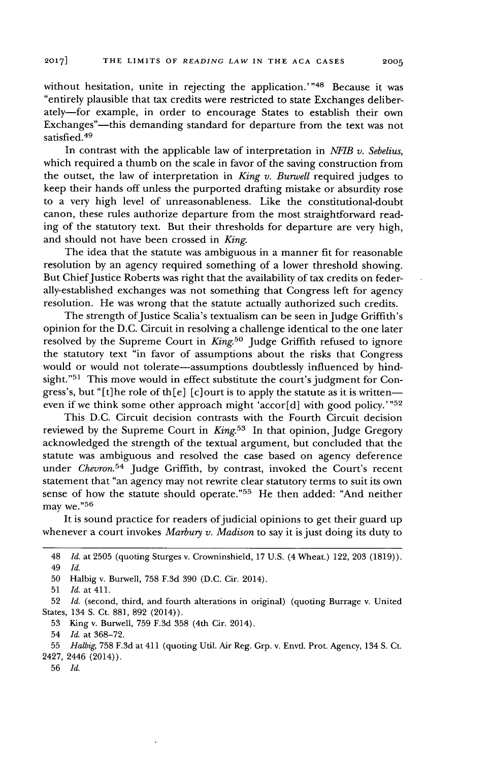without hesitation, unite in rejecting the application.'"<sup>48</sup> Because it was "entirely plausible that tax credits were restricted to state Exchanges deliberately-for example, in order to encourage States to establish their own Exchanges"-this demanding standard for departure from the text was not satisfied.<sup>49</sup>

In contrast with the applicable law of interpretation in *NFIB v. Sebelius,* which required a thumb on the scale in favor of the saving construction from the outset, the law of interpretation in *King v. Burwell* required judges to keep their hands off unless the purported drafting mistake or absurdity rose to a very high level of unreasonableness. Like the constitutional-doubt canon, these rules authorize departure from the most straightforward reading of the statutory text. But their thresholds for departure are very high, and should not have been crossed in *King.*

The idea that the statute was ambiguous in a manner fit for reasonable resolution **by** an agency required something of a lower threshold showing. But Chief Justice Roberts was right that the availability of tax credits on federally-established exchanges was not something that Congress left for agency resolution. He was wrong that the statute actually authorized such credits.

The strength of Justice Scalia's textualism can be seen in Judge Griffith's opinion for the **D.C.** Circuit in resolving a challenge identical to the one later resolved by the Supreme Court in *King.*<sup>50</sup> Judge Griffith refused to ignore the statutory text "in favor of assumptions about the risks that Congress would or would not tolerate-assumptions doubtlessly influenced **by** hindsight." $51$  This move would in effect substitute the court's judgment for Congress's, but "[t]he role of th[e] [c] ourt is to apply the statute as it is writteneven if we think some other approach might 'accor[d] with good **policy." <sup>52</sup>**

This **D.C.** Circuit decision contrasts with the Fourth Circuit decision reviewed **by** the Supreme Court in *King.<sup>5</sup> <sup>3</sup>*In that opinion, Judge Gregory acknowledged the strength of the textual argument, but concluded that the statute was ambiguous and resolved the case based on agency deference under *Chevron.*<sup>54</sup> Judge Griffith, by contrast, invoked the Court's recent statement that "an agency may not rewrite clear statutory terms to suit its own sense of how the statute should operate."<sup>55</sup> He then added: "And neither may we."56

It is sound practice for readers of judicial opinions to get their guard up whenever a court invokes *Marbury v. Madison* to say it is just doing its duty to

- **53** King v. Burwell, **759 F.3d 358** (4th Cir. 2014).
- 54 *Id.* at **368-72.**

<sup>48</sup> *Id.* at **2505** (quoting Sturges v. Crowninshield, **17 U.S.** (4 Wheat.) 122, **203 (1819)).** 49 *Id.*

**<sup>50</sup>** Halbig v. Burwell, **758 F.3d 390 (D.C.** Cir. 2014).

**<sup>51</sup>** *Id.* at 411.

**<sup>52</sup>** *Id.* (second, third, and fourth alterations in original) (quoting Burrage v. United States, 134 **S.** Ct. **881, 892** (2014)).

**<sup>55</sup>** *Halbig,* **758 F.3d** at 411 (quoting Util. Air Reg. Grp. v. Envtl. Prot. Agency, 134 **S.** Ct. 2427, 2446 (2014)).

**<sup>56</sup>** *Id.*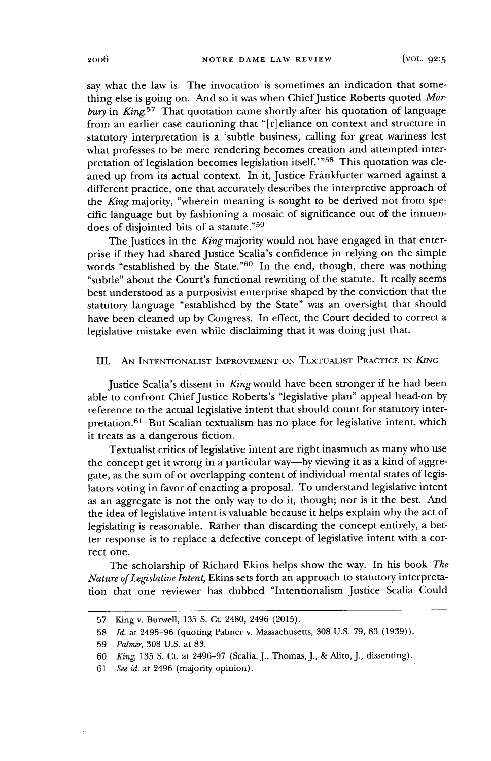say what the law is. The invocation is sometimes an indication that something else is going on. And so it was when Chief Justice Roberts quoted Mar*bury* in *King.<sup>57</sup>*That quotation came shortly after his quotation of language from an earlier case cautioning that "[r] eliance on context and structure in statutory interpretation is a 'subtle business, calling for great wariness lest what professes to be mere rendering becomes creation and attempted interpretation of legislation becomes legislation itself."<sup>58</sup> This quotation was cleaned up from its actual context. In it, Justice Frankfurter warned against a different practice, one that accurately describes the interpretive approach of the *King* majority, "wherein meaning is sought to be derived not from specific language but by fashioning a mosaic of significance out of the innuendoes of disjointed bits of a statute."<sup>59</sup>

The Justices in the *King* majority would not have engaged in that enterprise if they had shared Justice Scalia's confidence in relying on the simple words "established by the State."<sup>60</sup> In the end, though, there was nothing "subtle" about the Court's functional rewriting of the statute. It really seems best understood as a purposivist enterprise shaped by the conviction that the statutory language "established by the State" was an oversight that should have been cleaned up by Congress. In effect, the Court decided to correct a legislative mistake even while disclaiming that it was doing just that.

### III. AN **INTENTIONALIST** IMPROVEMENT **ON TEXTUALIST** PRACTICE **IN** *KING*

Justice Scalia's dissent in King would have been stronger if he had been able to confront Chief Justice Roberts's "legislative plan" appeal head-on by reference to the actual legislative intent that should count for statutory interpretation.<sup>61</sup> But Scalian textualism has no place for legislative intent, which it treats as a dangerous fiction.

Textualist critics of legislative intent are right inasmuch as many who use the concept get it wrong in a particular way—by viewing it as a kind of aggregate, as the sum of or overlapping content of individual mental states of legislators voting in favor of enacting a proposal. To understand legislative intent as an aggregate is not the only way to do it, though; nor is it the best. And the idea of legislative intent is valuable because it helps explain why the act of legislating is reasonable. Rather than discarding the concept entirely, a better response is to replace a defective concept of legislative intent with a correct one.

The scholarship of Richard Ekins helps show the way. In his book *The Nature of Legislative Intent,* Ekins sets forth an approach to statutory interpretation that one reviewer has dubbed "Intentionalism Justice Scalia Could

<sup>57</sup> King v. Burwell, 135 S. Ct. 2480, 2496 (2015).

<sup>58</sup> *Id.* at 2495-96 (quoting Palmer v. Massachusetts, 308 U.S. 79, 83 (1939)).

<sup>59</sup> *Palmer,* 308 U.S. at 83.

<sup>60</sup> *King,* 135 S. Ct. at 2496-97 (Scalia, J., Thomas, J., & Alito, J., dissenting).

<sup>61</sup> *See id.* at 2496 (majority opinion).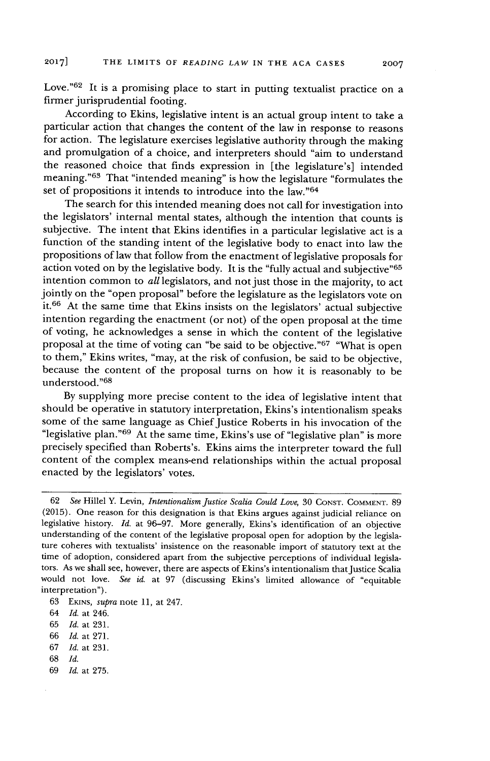Love."<sup>62</sup> It is a promising place to start in putting textualist practice on a firmer jurisprudential footing.

According to Ekins, legislative intent is an actual group intent to take a particular action that changes the content of the law in response to reasons for action. The legislature exercises legislative authority through the making and promulgation of a choice, and interpreters should "aim to understand the reasoned choice that finds expression in [the legislature's] intended meaning."<sup>63</sup> That "intended meaning" is how the legislature "formulates the set of propositions it intends to introduce into the law."64

The search for this intended meaning does not call for investigation into the legislators' internal mental states, although the intention that counts is subjective. The intent that Ekins identifies in a particular legislative act is a function of the standing intent of the legislative body to enact into law the propositions of law that follow from the enactment of legislative proposals for action voted on by the legislative body. It is the "fully actual and subjective"<sup>65</sup> intention common to *all* legislators, and not just those in the majority, to act jointly on the "open proposal" before the legislature as the legislators vote on it.<sup>66</sup> At the same time that Ekins insists on the legislators' actual subjective intention regarding the enactment (or not) of the open proposal at the time of voting, he acknowledges a sense in which the content of the legislative proposal at the time of voting can "be said to be objective."<sup>67</sup> "What is open to them," Ekins writes, "may, at the risk of confusion, be said to be objective, because the content of the proposal turns on how it is reasonably to be understood." 6 8

By supplying more precise content to the idea of legislative intent that should be operative in statutory interpretation, Ekins's intentionalism speaks some of the same language as Chief Justice Roberts in his invocation of the "legislative plan."<sup>69</sup> At the same time, Ekins's use of "legislative plan" is more precisely specified than Roberts's. Ekins aims the interpreter toward the full content of the complex means-end relationships within the actual proposal enacted by the legislators' votes.

- 66 *Id.* at 271.
- 67 *Id.* at 231.
- 68 *Id.*
- 69 *Id.* at 275.

<sup>62</sup> *See* Hillel Y. Levin, *Intentionalism Justice Scalia Could Love,* 30 **CONST. COMMENT.** 89 (2015). One reason for this designation is that Ekins argues against judicial reliance on legislative history. *Id.* at 96-97. More generally, Ekins's identification of an objective understanding of the content of the legislative proposal open for adoption by the legislature coheres with textualists' insistence on the reasonable import of statutory text at the time of adoption, considered apart from the subjective perceptions of individual legislators. As we shall see, however, there are aspects of Ekins's intentionalism that Justice Scalia would not love. *See id.* at 97 (discussing Ekins's limited allowance of "equitable interpretation").

<sup>63</sup> EKINS, *supra* note 11, at 247.

<sup>64</sup> *Id.* at 246.

<sup>65</sup> *Id.* at 231.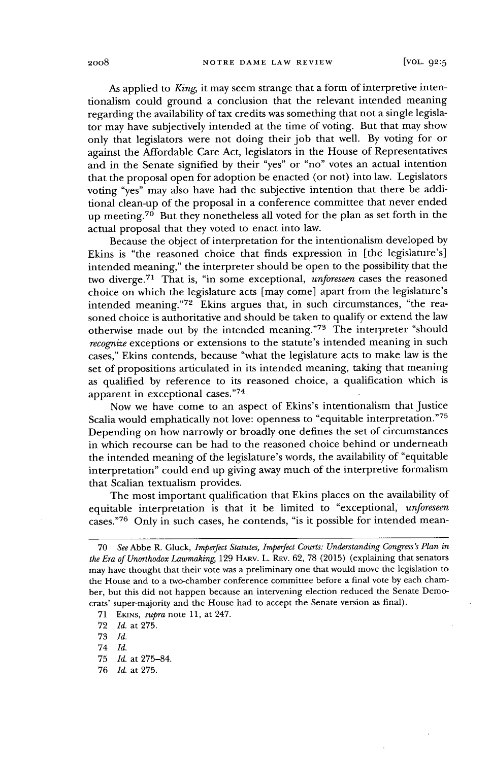As applied to *King,* it may seem strange that a form of interpretive intentionalism could ground a conclusion that the relevant intended meaning regarding the availability of tax credits was something that not a single legislator may have subjectively intended at the time of voting. But that may show only that legislators were not doing their job that well. By voting for or against the Affordable Care Act, legislators in the House of Representatives and in the Senate signified by their "yes" or "no" votes an actual intention that the proposal open for adoption be enacted (or not) into law. Legislators voting "yes" may also have had the subjective intention that there be additional clean-up of the proposal in a conference committee that never ended up meeting.<sup>70</sup> But they nonetheless all voted for the plan as set forth in the actual proposal that they voted to enact into law.

Because the object of interpretation for the intentionalism developed by Ekins is "the reasoned choice that finds expression in [the legislature's] intended meaning," the interpreter should be open to the possibility that the two diverge.<sup>71</sup> That is, "in some exceptional, *unforeseen* cases the reasoned choice on which the legislature acts [may come] apart from the legislature's intended meaning."72 Ekins argues that, in such circumstances, "the reasoned choice is authoritative and should be taken to qualify or extend the law otherwise made out by the intended meaning." $73$  The interpreter "should *recognize* exceptions or extensions to the statute's intended meaning in such cases," Ekins contends, because "what the legislature acts to make law is the set of propositions articulated in its intended meaning, taking that meaning as qualified by reference to its reasoned choice, a qualification which is apparent in exceptional cases."<sup>74</sup>

Now we have come to an aspect of Ekins's intentionalism that Justice Scalia would emphatically not love: openness to "equitable interpretation."75 Depending on how narrowly or broadly one defines the set of circumstances in which recourse can be had to the reasoned choice behind or underneath the intended meaning of the legislature's words, the availability of "equitable interpretation" could end up giving away much of the interpretive formalism that Scalian textualism provides.

The most important qualification that Ekins places on the availability of equitable interpretation is that it be limited to "exceptional, *unforeseen* cases."76 Only in such cases, he contends, "is it possible for intended mean-

74 *Id.*

76 *Id.* at 275.

<sup>70</sup> *See* Abbe R. Gluck, *Imperfect Statutes, Imperfect Courts: Understanding Congress's Plan in the Era of Unorthodox Lawmaking,* 129 HARv. L. REV. 62, 78 (2015) (explaining that senators may have thought that their vote was a preliminary one that would move the legislation to the House and to a two-chamber conference committee before a final vote by each chamber, but this did not happen because an intervening election reduced the Senate Democrats' super-majority and the House had to accept the Senate version as final).

<sup>71</sup> EKuNS, *supra* note 11, at 247.

<sup>72</sup> *Id.* at 275.

<sup>73</sup> *Id.*

<sup>75</sup> *Id.* at 275-84.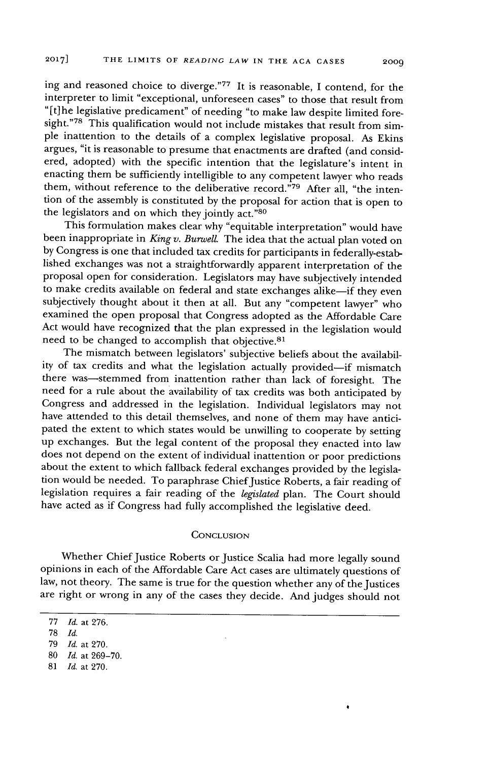ing and reasoned choice to diverge."77 It is reasonable, I contend, for the interpreter to limit "exceptional, unforeseen cases" to those that result from "[t]he legislative predicament" of needing "to make law despite limited foresight."78 This qualification would not include mistakes that result from simple inattention to the details of a complex legislative proposal. As Ekins argues, "it is reasonable to presume that enactments are drafted (and considered, adopted) with the specific intention that the legislature's intent in enacting them be sufficiently intelligible to any competent lawyer who reads them, without reference to the deliberative record."<sup>79</sup> After all, "the intention of the assembly is constituted by the proposal for action that is open to the legislators and on which they jointly act."80

This formulation makes clear why "equitable interpretation" would have been inappropriate in *King v. Burwell.* The idea that the actual plan voted on by Congress is one that included tax credits for participants in federally-established exchanges was not a straightforwardly apparent interpretation of the proposal open for consideration. Legislators may have subjectively intended to make credits available on federal and state exchanges alike-if they even subjectively thought about it then at all. But any "competent lawyer" who examined the open proposal that Congress adopted as the Affordable Care Act would have recognized that the plan expressed in the legislation would need to be changed to accomplish that objective.<sup>81</sup>

The mismatch between legislators' subjective beliefs about the availability of tax credits and what the legislation actually provided-if mismatch there was-stemmed from inattention rather than lack of foresight. The need for a rule about the availability of tax credits was both anticipated by Congress and addressed in the legislation. Individual legislators may not have attended to this detail themselves, and none of them may have anticipated the extent to which states would be unwilling to cooperate by setting up exchanges. But the legal content of the proposal they enacted into law does not depend on the extent of individual inattention or poor predictions about the extent to which fallback federal exchanges provided by the legislation would be needed. To paraphrase Chief Justice Roberts, a fair reading of legislation requires a fair reading of the *legislated* plan. The Court should have acted as if Congress had fully accomplished the legislative deed.

#### **CONCLUSION**

Whether Chief Justice Roberts or Justice Scalia had more legally sound opinions in each of the Affordable Care Act cases are ultimately questions of law, not theory. The same is true for the question whether any of the Justices are right or wrong in any of the cases they decide. And judges should not

81 *Id.* at 270.

<sup>77</sup> *Id.* at 276.

**<sup>78</sup>** *Id.*

<sup>79</sup> *Id.* at 270.

<sup>80</sup> *Id.* at 269-70.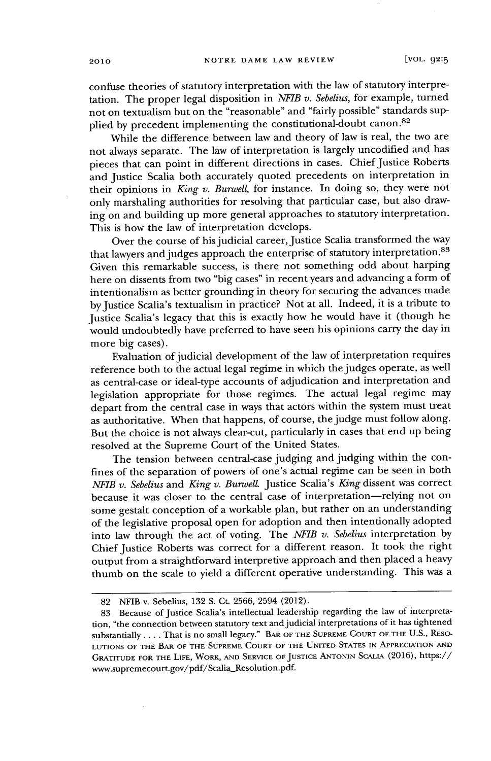confuse theories of statutory interpretation with the law of statutory interpretation. The proper legal disposition in *NFIB v. Sebelius,* for example, turned not on textualism but on the "reasonable" and "fairly possible" standards supplied by precedent implementing the constitutional-doubt canon.<sup>82</sup>

While the difference between law and theory of law is real, the two are not always separate. The law of interpretation is largely uncodified and has pieces that can point in different directions in cases. Chief Justice Roberts and Justice Scalia both accurately quoted precedents on interpretation in their opinions in *King v. Burwell,* for instance. In doing so, they were not only marshaling authorities for resolving that particular case, but also drawing on and building up more general approaches to statutory interpretation. This is how the law of interpretation develops.

Over the course of his judicial career, Justice Scalia transformed the way that lawyers and judges approach the enterprise of statutory interpretation.<sup>83</sup> Given this remarkable success, is there not something odd about harping here on dissents from two "big cases" in recent years and advancing a form of intentionalism as better grounding in theory for securing the advances made by Justice Scalia's textualism in practice? Not at all. Indeed, it is a tribute to Justice Scalia's legacy that this is exactly how he would have it (though he would undoubtedly have preferred to have seen his opinions carry the day in more big cases).

Evaluation of judicial development of the law of interpretation requires reference both to the actual legal regime in which the judges operate, as well as central-case or ideal-type accounts of adjudication and interpretation and legislation appropriate for those regimes. The actual legal regime may depart from the central case in ways that actors within the system must treat as authoritative. When that happens, of course, the judge must follow along. But the choice is not always clear-cut, particularly in cases that end up being resolved at the Supreme Court of the United States.

The tension between central-case judging and judging within the confines of the separation of powers of one's actual regime can be seen in both NFIB *v. Sebelius* and *King v. BurwelL* Justice Scalia's *King* dissent was correct because it was closer to the central case of interpretation-relying not on some gestalt conception of a workable plan, but rather on an understanding of the legislative proposal open for adoption and then intentionally adopted into law through the act of voting. The *NFIB v. Sebelius* interpretation by Chief Justice Roberts was correct for a different reason. It took the right output from a straightforward interpretive approach and then placed a heavy thumb on the scale to yield a different operative understanding. This was a

<sup>82</sup> NFIB v. Sebelius, 132 S. Ct. 2566, 2594 (2012).

<sup>83</sup> Because of Justice Scalia's intellectual leadership regarding the law of interpretation, "the connection between statutory text and judicial interpretations of it has tightened substantially .... That is no small legacy." BAR OF THE **SUPREME COURT** OF **THE** U.S., **RESO-LUTIONS** OF THE BAR OF THE **SUPREME COURT** OF THE **UNITED STATES** IN APPRECIATION **AND** GRATITUDE FOR THE LIFE, WORK, **AND** SERVICE OF JUSTICE **ANTONIN SCALIA** (2016), https:// www.supremecourt.gov/pdf/Scalia\_Resolution.pdf.